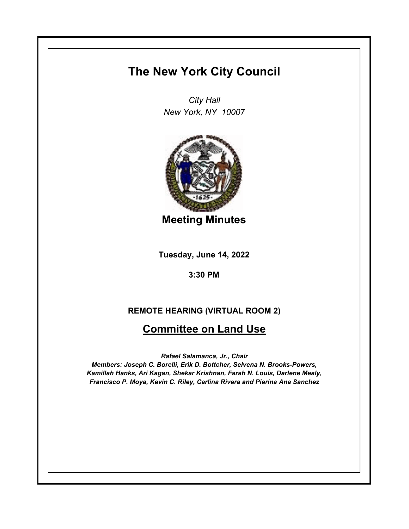# **The New York City Council**

*City Hall New York, NY 10007*



**Meeting Minutes**

**Tuesday, June 14, 2022**

**3:30 PM**

## **REMOTE HEARING (VIRTUAL ROOM 2)**

# **Committee on Land Use**

*Rafael Salamanca, Jr., Chair*

*Members: Joseph C. Borelli, Erik D. Bottcher, Selvena N. Brooks-Powers, Kamillah Hanks, Ari Kagan, Shekar Krishnan, Farah N. Louis, Darlene Mealy, Francisco P. Moya, Kevin C. Riley, Carlina Rivera and Pierina Ana Sanchez*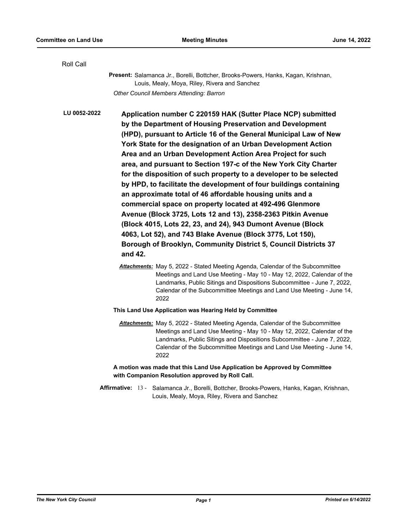| Roll Call    |                                                                                                                                                                                                                                                                                                                                                                                                                                                                                                                                                                                                                                                                                                                                                                                                                                                                                                                                                   |
|--------------|---------------------------------------------------------------------------------------------------------------------------------------------------------------------------------------------------------------------------------------------------------------------------------------------------------------------------------------------------------------------------------------------------------------------------------------------------------------------------------------------------------------------------------------------------------------------------------------------------------------------------------------------------------------------------------------------------------------------------------------------------------------------------------------------------------------------------------------------------------------------------------------------------------------------------------------------------|
|              | Present: Salamanca Jr., Borelli, Bottcher, Brooks-Powers, Hanks, Kagan, Krishnan,<br>Louis, Mealy, Moya, Riley, Rivera and Sanchez                                                                                                                                                                                                                                                                                                                                                                                                                                                                                                                                                                                                                                                                                                                                                                                                                |
|              | Other Council Members Attending: Barron                                                                                                                                                                                                                                                                                                                                                                                                                                                                                                                                                                                                                                                                                                                                                                                                                                                                                                           |
| LU 0052-2022 | Application number C 220159 HAK (Sutter Place NCP) submitted<br>by the Department of Housing Preservation and Development<br>(HPD), pursuant to Article 16 of the General Municipal Law of New<br>York State for the designation of an Urban Development Action<br>Area and an Urban Development Action Area Project for such<br>area, and pursuant to Section 197-c of the New York City Charter<br>for the disposition of such property to a developer to be selected<br>by HPD, to facilitate the development of four buildings containing<br>an approximate total of 46 affordable housing units and a<br>commercial space on property located at 492-496 Glenmore<br>Avenue (Block 3725, Lots 12 and 13), 2358-2363 Pitkin Avenue<br>(Block 4015, Lots 22, 23, and 24), 943 Dumont Avenue (Block<br>4063, Lot 52), and 743 Blake Avenue (Block 3775, Lot 150),<br>Borough of Brooklyn, Community District 5, Council Districts 37<br>and 42. |
|              | Attachments: May 5, 2022 - Stated Meeting Agenda, Calendar of the Subcommittee<br>Meetings and Land Use Meeting - May 10 - May 12, 2022, Calendar of the<br>Landmarks, Public Sitings and Dispositions Subcommittee - June 7, 2022,<br>Calendar of the Subcommittee Meetings and Land Use Meeting - June 14,<br>2022                                                                                                                                                                                                                                                                                                                                                                                                                                                                                                                                                                                                                              |
|              | This Land Use Application was Hearing Held by Committee                                                                                                                                                                                                                                                                                                                                                                                                                                                                                                                                                                                                                                                                                                                                                                                                                                                                                           |
|              | Attachments: May 5, 2022 - Stated Meeting Agenda, Calendar of the Subcommittee<br>Meetings and Land Use Meeting - May 10 - May 12, 2022, Calendar of the<br>Landmarks, Public Sitings and Dispositions Subcommittee - June 7, 2022,<br>Calendar of the Subcommittee Meetings and Land Use Meeting - June 14,<br>2022                                                                                                                                                                                                                                                                                                                                                                                                                                                                                                                                                                                                                              |
|              | A motion was made that this Land Use Application be Approved by Committee<br>with Companion Resolution approved by Roll Call.                                                                                                                                                                                                                                                                                                                                                                                                                                                                                                                                                                                                                                                                                                                                                                                                                     |
|              | Affirmative: 13 - Salamanca Jr., Borelli, Bottcher, Brooks-Powers, Hanks, Kagan, Krishnan,<br>Louis, Mealy, Moya, Riley, Rivera and Sanchez                                                                                                                                                                                                                                                                                                                                                                                                                                                                                                                                                                                                                                                                                                                                                                                                       |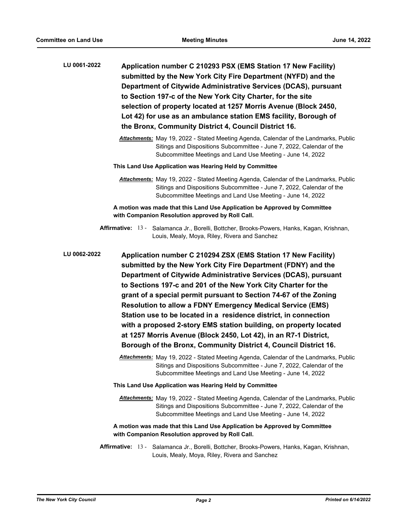| LU 0061-2022        | Application number C 210293 PSX (EMS Station 17 New Facility)<br>submitted by the New York City Fire Department (NYFD) and the<br>Department of Citywide Administrative Services (DCAS), pursuant<br>to Section 197-c of the New York City Charter, for the site<br>selection of property located at 1257 Morris Avenue (Block 2450,<br>Lot 42) for use as an ambulance station EMS facility, Borough of                                                                                                                                                                                                                                                                                       |
|---------------------|------------------------------------------------------------------------------------------------------------------------------------------------------------------------------------------------------------------------------------------------------------------------------------------------------------------------------------------------------------------------------------------------------------------------------------------------------------------------------------------------------------------------------------------------------------------------------------------------------------------------------------------------------------------------------------------------|
|                     | the Bronx, Community District 4, Council District 16.                                                                                                                                                                                                                                                                                                                                                                                                                                                                                                                                                                                                                                          |
|                     | Attachments: May 19, 2022 - Stated Meeting Agenda, Calendar of the Landmarks, Public<br>Sitings and Dispositions Subcommittee - June 7, 2022, Calendar of the<br>Subcommittee Meetings and Land Use Meeting - June 14, 2022                                                                                                                                                                                                                                                                                                                                                                                                                                                                    |
|                     | This Land Use Application was Hearing Held by Committee                                                                                                                                                                                                                                                                                                                                                                                                                                                                                                                                                                                                                                        |
|                     | Attachments: May 19, 2022 - Stated Meeting Agenda, Calendar of the Landmarks, Public<br>Sitings and Dispositions Subcommittee - June 7, 2022, Calendar of the<br>Subcommittee Meetings and Land Use Meeting - June 14, 2022                                                                                                                                                                                                                                                                                                                                                                                                                                                                    |
|                     | A motion was made that this Land Use Application be Approved by Committee<br>with Companion Resolution approved by Roll Call.                                                                                                                                                                                                                                                                                                                                                                                                                                                                                                                                                                  |
|                     | Affirmative: 13 - Salamanca Jr., Borelli, Bottcher, Brooks-Powers, Hanks, Kagan, Krishnan,<br>Louis, Mealy, Moya, Riley, Rivera and Sanchez                                                                                                                                                                                                                                                                                                                                                                                                                                                                                                                                                    |
| <b>LU 0062-2022</b> | Application number C 210294 ZSX (EMS Station 17 New Facility)<br>submitted by the New York City Fire Department (FDNY) and the<br>Department of Citywide Administrative Services (DCAS), pursuant<br>to Sections 197-c and 201 of the New York City Charter for the<br>grant of a special permit pursuant to Section 74-67 of the Zoning<br><b>Resolution to allow a FDNY Emergency Medical Service (EMS)</b><br>Station use to be located in a residence district, in connection<br>with a proposed 2-story EMS station building, on property located<br>at 1257 Morris Avenue (Block 2450, Lot 42), in an R7-1 District,<br>Borough of the Bronx, Community District 4, Council District 16. |
|                     | Attachments: May 19, 2022 - Stated Meeting Agenda, Calendar of the Landmarks, Public<br>Sitings and Dispositions Subcommittee - June 7, 2022, Calendar of the<br>Subcommittee Meetings and Land Use Meeting - June 14, 2022                                                                                                                                                                                                                                                                                                                                                                                                                                                                    |
|                     | This Land Use Application was Hearing Held by Committee                                                                                                                                                                                                                                                                                                                                                                                                                                                                                                                                                                                                                                        |
|                     | Attachments: May 19, 2022 - Stated Meeting Agenda, Calendar of the Landmarks, Public<br>Sitings and Dispositions Subcommittee - June 7, 2022, Calendar of the<br>Subcommittee Meetings and Land Use Meeting - June 14, 2022                                                                                                                                                                                                                                                                                                                                                                                                                                                                    |
|                     | A motion was made that this Land Use Application be Approved by Committee<br>with Companion Resolution approved by Roll Call.                                                                                                                                                                                                                                                                                                                                                                                                                                                                                                                                                                  |
|                     | Affirmative: 13 - Salamanca Jr., Borelli, Bottcher, Brooks-Powers, Hanks, Kagan, Krishnan,<br>Louis, Mealy, Moya, Riley, Rivera and Sanchez                                                                                                                                                                                                                                                                                                                                                                                                                                                                                                                                                    |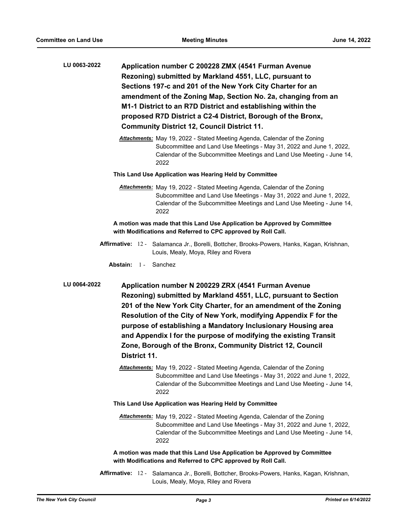- **Application number C 200228 ZMX (4541 Furman Avenue Rezoning) submitted by Markland 4551, LLC, pursuant to Sections 197-c and 201 of the New York City Charter for an amendment of the Zoning Map, Section No. 2a, changing from an M1-1 District to an R7D District and establishing within the proposed R7D District a C2-4 District, Borough of the Bronx, Community District 12, Council District 11. LU 0063-2022**
	- *Attachments:* May 19, 2022 Stated Meeting Agenda, Calendar of the Zoning Subcommittee and Land Use Meetings - May 31, 2022 and June 1, 2022, Calendar of the Subcommittee Meetings and Land Use Meeting - June 14, 2022
	- **This Land Use Application was Hearing Held by Committee**
		- *Attachments:* May 19, 2022 Stated Meeting Agenda, Calendar of the Zoning Subcommittee and Land Use Meetings - May 31, 2022 and June 1, 2022, Calendar of the Subcommittee Meetings and Land Use Meeting - June 14, 2022

**A motion was made that this Land Use Application be Approved by Committee with Modifications and Referred to CPC approved by Roll Call.**

Affirmative: 12 - Salamanca Jr., Borelli, Bottcher, Brooks-Powers, Hanks, Kagan, Krishnan, Louis, Mealy, Moya, Riley and Rivera

**Abstain:** 1 - Sanchez

**Application number N 200229 ZRX (4541 Furman Avenue Rezoning) submitted by Markland 4551, LLC, pursuant to Section 201 of the New York City Charter, for an amendment of the Zoning Resolution of the City of New York, modifying Appendix F for the purpose of establishing a Mandatory Inclusionary Housing area and Appendix I for the purpose of modifying the existing Transit Zone, Borough of the Bronx, Community District 12, Council District 11. LU 0064-2022**

- *Attachments:* May 19, 2022 Stated Meeting Agenda, Calendar of the Zoning Subcommittee and Land Use Meetings - May 31, 2022 and June 1, 2022, Calendar of the Subcommittee Meetings and Land Use Meeting - June 14, 2022
- **This Land Use Application was Hearing Held by Committee**
	- *Attachments:* May 19, 2022 Stated Meeting Agenda, Calendar of the Zoning Subcommittee and Land Use Meetings - May 31, 2022 and June 1, 2022, Calendar of the Subcommittee Meetings and Land Use Meeting - June 14, 2022

**A motion was made that this Land Use Application be Approved by Committee with Modifications and Referred to CPC approved by Roll Call.**

Affirmative: 12 - Salamanca Jr., Borelli, Bottcher, Brooks-Powers, Hanks, Kagan, Krishnan, Louis, Mealy, Moya, Riley and Rivera